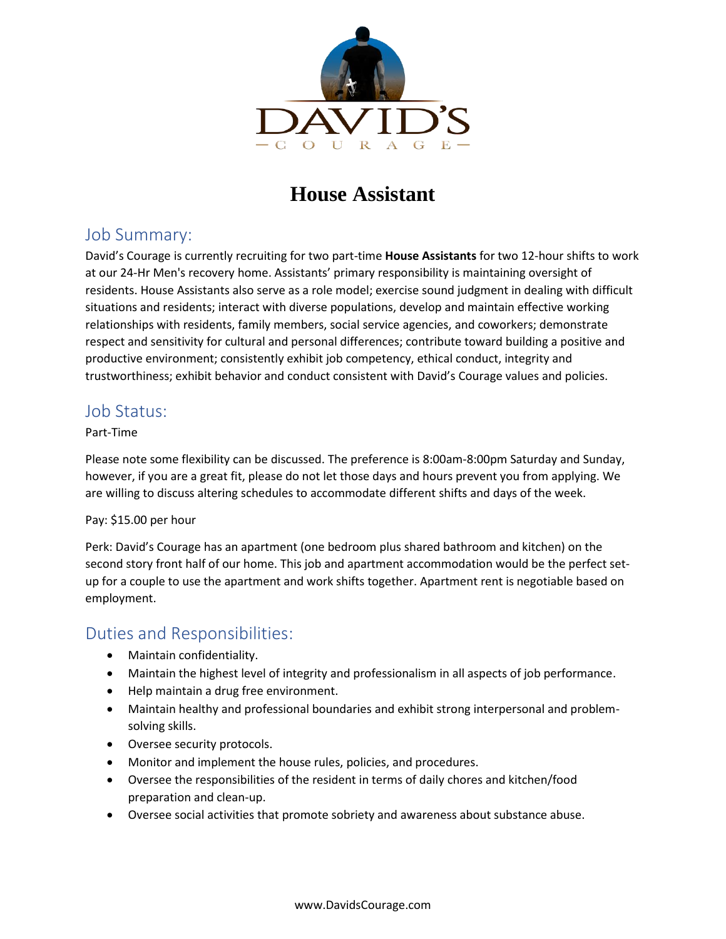

# **House Assistant**

## Job Summary:

David's Courage is currently recruiting for two part-time **House Assistants** for two 12-hour shifts to work at our 24-Hr Men's recovery home. Assistants' primary responsibility is maintaining oversight of residents. House Assistants also serve as a role model; exercise sound judgment in dealing with difficult situations and residents; interact with diverse populations, develop and maintain effective working relationships with residents, family members, social service agencies, and coworkers; demonstrate respect and sensitivity for cultural and personal differences; contribute toward building a positive and productive environment; consistently exhibit job competency, ethical conduct, integrity and trustworthiness; exhibit behavior and conduct consistent with David's Courage values and policies.

### Job Status:

#### Part-Time

Please note some flexibility can be discussed. The preference is 8:00am-8:00pm Saturday and Sunday, however, if you are a great fit, please do not let those days and hours prevent you from applying. We are willing to discuss altering schedules to accommodate different shifts and days of the week.

#### Pay: \$15.00 per hour

Perk: David's Courage has an apartment (one bedroom plus shared bathroom and kitchen) on the second story front half of our home. This job and apartment accommodation would be the perfect setup for a couple to use the apartment and work shifts together. Apartment rent is negotiable based on employment.

## Duties and Responsibilities:

- Maintain confidentiality.
- Maintain the highest level of integrity and professionalism in all aspects of job performance.
- Help maintain a drug free environment.
- Maintain healthy and professional boundaries and exhibit strong interpersonal and problemsolving skills.
- Oversee security protocols.
- Monitor and implement the house rules, policies, and procedures.
- Oversee the responsibilities of the resident in terms of daily chores and kitchen/food preparation and clean-up.
- Oversee social activities that promote sobriety and awareness about substance abuse.